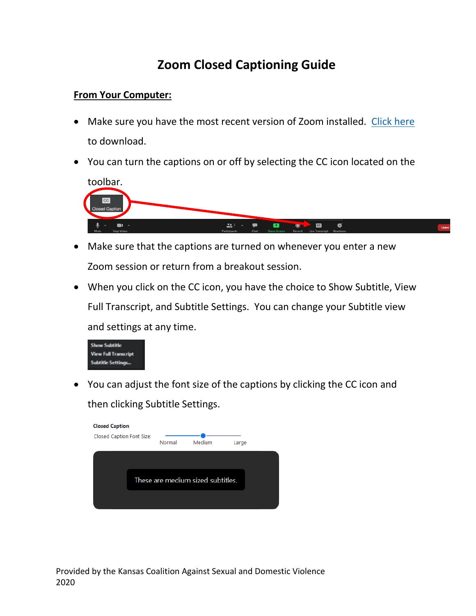## **Zoom Closed Captioning Guide**

## **From Your Computer:**

- Make sure you have the most recent version of Zoom installed. [Click here](https://zoom.us/download) to download.
- You can turn the captions on or off by selecting the CC icon located on the



- Make sure that the captions are turned on whenever you enter a new Zoom session or return from a breakout session.
- When you click on the CC icon, you have the choice to Show Subtitle, View Full Transcript, and Subtitle Settings. You can change your Subtitle view and settings at any time.



• You can adjust the font size of the captions by clicking the CC icon and then clicking Subtitle Settings.

| <b>Closed Caption</b>             |  |        |        |       |  |  |
|-----------------------------------|--|--------|--------|-------|--|--|
| Closed Caption Font Size:         |  | Normal | Medium | Large |  |  |
|                                   |  |        |        |       |  |  |
| These are medium sized subtitles. |  |        |        |       |  |  |
|                                   |  |        |        |       |  |  |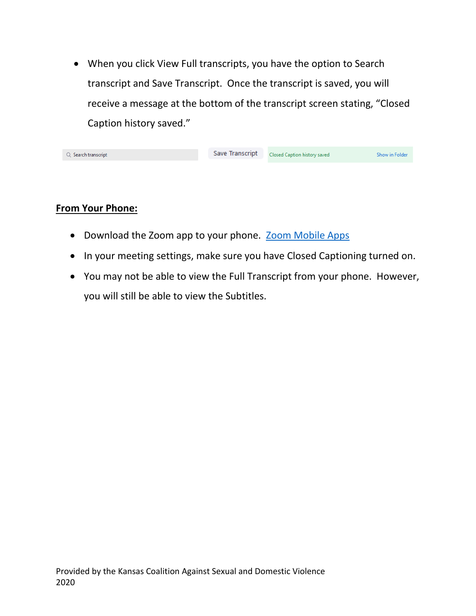• When you click View Full transcripts, you have the option to Search transcript and Save Transcript. Once the transcript is saved, you will receive a message at the bottom of the transcript screen stating, "Closed Caption history saved."

| Q Search transcript | Save Transcript Closed Caption history saved | <b>Show in Folder</b> |
|---------------------|----------------------------------------------|-----------------------|
|                     |                                              |                       |

## **From Your Phone:**

- Download the Zoom app to your phone. [Zoom Mobile Apps](https://zoom.us/download)
- In your meeting settings, make sure you have Closed Captioning turned on.
- You may not be able to view the Full Transcript from your phone. However, you will still be able to view the Subtitles.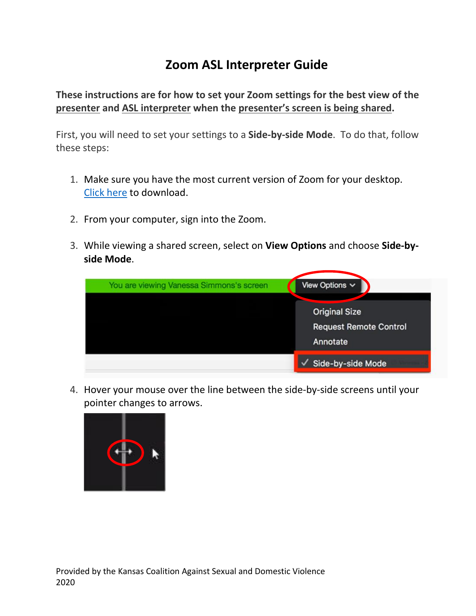## **Zoom ASL Interpreter Guide**

**These instructions are for how to set your Zoom settings for the best view of the presenter and ASL interpreter when the presenter's screen is being shared.**

First, you will need to set your settings to a **Side-by-side Mode**. To do that, follow these steps:

- 1. Make sure you have the most current version of Zoom for your desktop. [Click here](https://zoom.us/download) to download.
- 2. From your computer, sign into the Zoom.
- 3. While viewing a shared screen, select on **View Options** and choose **Side-byside Mode**.

| You are viewing Vanessa Simmons's screen | View Options $\vee$                                               |
|------------------------------------------|-------------------------------------------------------------------|
|                                          | <b>Original Size</b><br><b>Request Remote Control</b><br>Annotate |
|                                          | Side-by-side Mode                                                 |

4. Hover your mouse over the line between the side-by-side screens until your pointer changes to arrows.